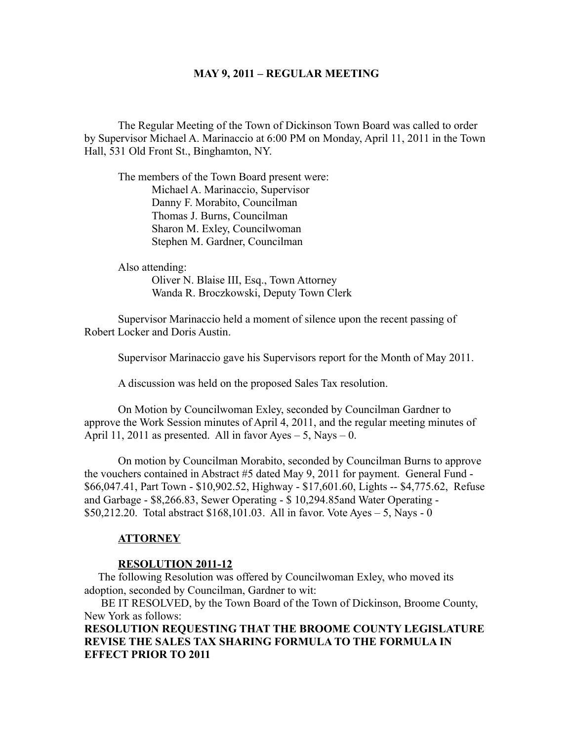#### **MAY 9, 2011 – REGULAR MEETING**

The Regular Meeting of the Town of Dickinson Town Board was called to order by Supervisor Michael A. Marinaccio at 6:00 PM on Monday, April 11, 2011 in the Town Hall, 531 Old Front St., Binghamton, NY.

The members of the Town Board present were: Michael A. Marinaccio, Supervisor Danny F. Morabito, Councilman Thomas J. Burns, Councilman Sharon M. Exley, Councilwoman Stephen M. Gardner, Councilman

Also attending:

Oliver N. Blaise III, Esq., Town Attorney Wanda R. Broczkowski, Deputy Town Clerk

Supervisor Marinaccio held a moment of silence upon the recent passing of Robert Locker and Doris Austin.

Supervisor Marinaccio gave his Supervisors report for the Month of May 2011.

A discussion was held on the proposed Sales Tax resolution.

On Motion by Councilwoman Exley, seconded by Councilman Gardner to approve the Work Session minutes of April 4, 2011, and the regular meeting minutes of April 11, 2011 as presented. All in favor Ayes  $-5$ , Nays  $-0$ .

On motion by Councilman Morabito, seconded by Councilman Burns to approve the vouchers contained in Abstract #5 dated May 9, 2011 for payment. General Fund - \$66,047.41, Part Town - \$10,902.52, Highway - \$17,601.60, Lights -- \$4,775.62, Refuse and Garbage - \$8,266.83, Sewer Operating - \$ 10,294.85and Water Operating - \$50,212.20. Total abstract \$168,101.03. All in favor. Vote Ayes – 5, Nays - 0

# **ATTORNEY**

### **RESOLUTION 2011-12**

 The following Resolution was offered by Councilwoman Exley, who moved its adoption, seconded by Councilman, Gardner to wit:

 BE IT RESOLVED, by the Town Board of the Town of Dickinson, Broome County, New York as follows:

**RESOLUTION REQUESTING THAT THE BROOME COUNTY LEGISLATURE REVISE THE SALES TAX SHARING FORMULA TO THE FORMULA IN EFFECT PRIOR TO 2011**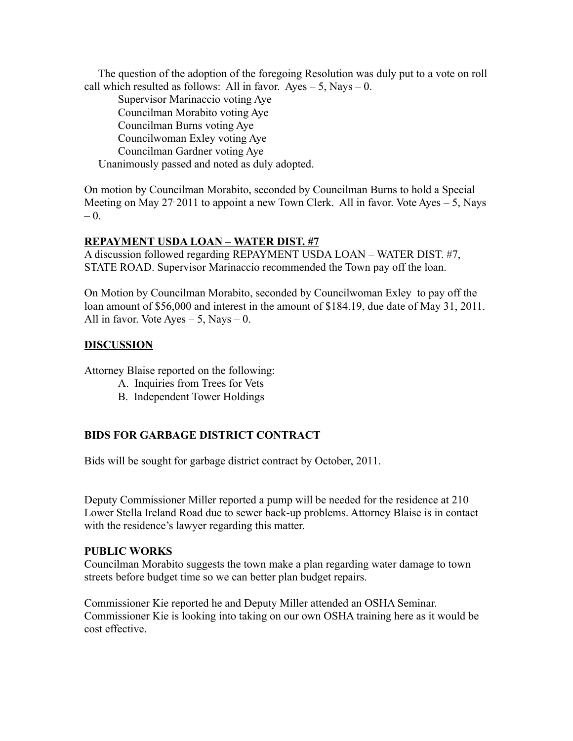The question of the adoption of the foregoing Resolution was duly put to a vote on roll call which resulted as follows: All in favor. Ayes  $-5$ , Nays  $-0$ .

Supervisor Marinaccio voting Aye Councilman Morabito voting Aye Councilman Burns voting Aye Councilwoman Exley voting Aye Councilman Gardner voting Aye Unanimously passed and noted as duly adopted.

On motion by Councilman Morabito, seconded by Councilman Burns to hold a Special Meeting on May 27 2011 to appoint a new Town Clerk. All in favor. Vote Ayes  $-5$ , Nays  $-0$ .

## **REPAYMENT USDA LOAN – WATER DIST. #7**

A discussion followed regarding REPAYMENT USDA LOAN – WATER DIST. #7, STATE ROAD. Supervisor Marinaccio recommended the Town pay off the loan.

On Motion by Councilman Morabito, seconded by Councilwoman Exley to pay off the loan amount of \$56,000 and interest in the amount of \$184.19, due date of May 31, 2011. All in favor. Vote Ayes  $-5$ , Nays  $-0$ .

## **DISCUSSION**

Attorney Blaise reported on the following:

- A. Inquiries from Trees for Vets
- B. Independent Tower Holdings

# **BIDS FOR GARBAGE DISTRICT CONTRACT**

Bids will be sought for garbage district contract by October, 2011.

Deputy Commissioner Miller reported a pump will be needed for the residence at 210 Lower Stella Ireland Road due to sewer back-up problems. Attorney Blaise is in contact with the residence's lawyer regarding this matter.

### **PUBLIC WORKS**

Councilman Morabito suggests the town make a plan regarding water damage to town streets before budget time so we can better plan budget repairs.

Commissioner Kie reported he and Deputy Miller attended an OSHA Seminar. Commissioner Kie is looking into taking on our own OSHA training here as it would be cost effective.